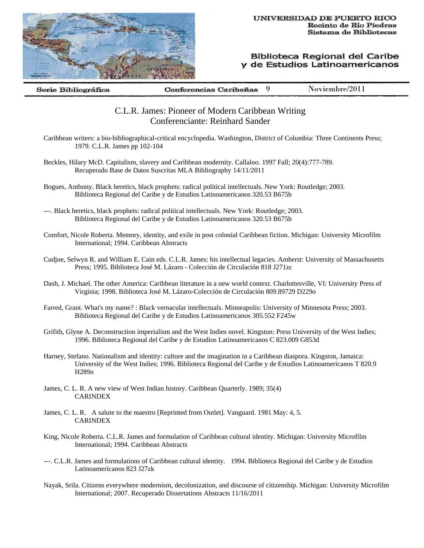

Biblioteca Regional del Caribe y de Estudios Latinoamericanos

9 Noviembre/2011 Serie Bibliográfica Conferencias Caribeñas

## C.L.R. James: Pioneer of Modern Caribbean Writing Conferenciante: Reinhard Sander

- Caribbean writers: a bio-bibliographical-critical encyclopedia. Washington, District of Columbia: Three Continents Press; 1979. C.L.R. James pp 102-104
- Beckles, Hilary McD. Capitalism, slavery and Caribbean modernity. Callaloo. 1997 Fall; 20(4):777-789. Recuperado Base de Datos Suscritas MLA Bibliography 14/11/2011
- Bogues, Anthony. Black heretics, black prophets: radical political intellectuals. New York: Routledge; 2003. Biblioteca Regional del Caribe y de Estudios Latinoamericanos 320.53 B675b
- ---. Black heretics, black prophets: radical political intellectuals. New York: Routledge; 2003. Biblioteca Regional del Caribe y de Estudios Latinoamericanos 320.53 B675b
- Comfort, Nicole Roberta. Memory, identity, and exile in post colonial Caribbean fiction. Michigan: University Microfilm International; 1994. Caribbean Abstracts
- Cudjoe, Selwyn R. and William E. Cain eds. C.L.R. James: his intellectual legacies. Amherst: University of Massachusetts Press; 1995. Biblioteca José M. Lázaro - Colección de Circulación 818 J271zc
- Dash, J. Michael. The other America: Caribbean literature in a new world context. Charlottesville, VI: University Press of Virginia; 1998. Biblioteca José M. Lázaro-Colección de Circulación 809.89729 D229o
- Farred, Grant. What's my name? : Black vernacular intellectuals. Minneapolis: University of Minnesota Press; 2003. Biblioteca Regional del Caribe y de Estudios Latinoamericanos 305.552 F245w
- Grifith, Glyne A. Deconstruction imperialism and the West Indies novel. Kingston: Press University of the West Indies; 1996. Biblioteca Regional del Caribe y de Estudios Latinoamericanos C 823.009 G853d
- Harney, Stefano. Nationalism and identity: culture and the imagination in a Caribbean diaspora. Kingston, Jamaica: University of the West Indies; 1996. Biblioteca Regional del Caribe y de Estudios Latinoamericanos T 820.9 H289n
- James, C. L. R. A new view of West Indian history. Caribbean Quarterly. 1989; 35(4) CARINDEX
- James, C. L. R. A salute to the maestro [Reprinted from Outlet]. Vanguard. 1981 May: 4, 5. CARINDEX
- King, Nicole Roberta. C.L.R. James and formulation of Caribbean cultural identity. Michigan: University Microfilm International; 1994. Caribbean Abstracts
- ---. C.L.R. James and formulations of Caribbean cultural identity. 1994. Biblioteca Regional del Caribe y de Estudios Latinoamericanos 823 J27zk
- Nayak, Srila. Citizens everywhere modernism, decolonization, and discourse of citizenship. Michigan: University Microfilm International; 2007. Recuperado Dissertations Abstracts 11/16/2011